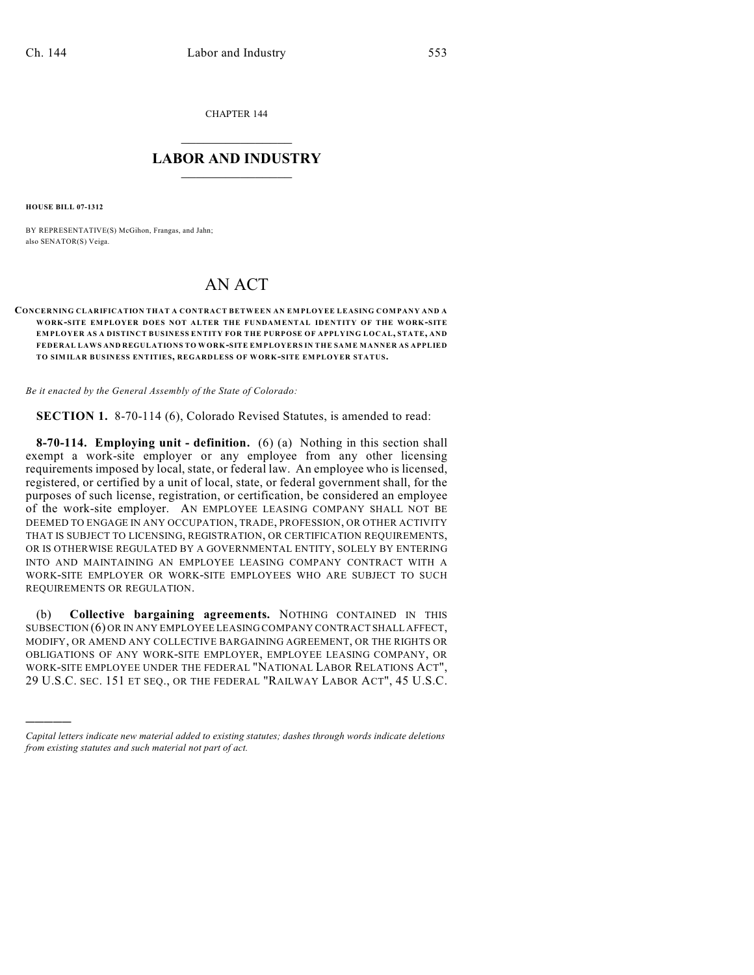CHAPTER 144

## $\overline{\phantom{a}}$  . The set of the set of the set of the set of the set of the set of the set of the set of the set of the set of the set of the set of the set of the set of the set of the set of the set of the set of the set o **LABOR AND INDUSTRY**  $\frac{1}{\sqrt{2}}$  ,  $\frac{1}{\sqrt{2}}$  ,  $\frac{1}{\sqrt{2}}$  ,  $\frac{1}{\sqrt{2}}$  ,  $\frac{1}{\sqrt{2}}$  ,  $\frac{1}{\sqrt{2}}$

**HOUSE BILL 07-1312**

)))))

BY REPRESENTATIVE(S) McGihon, Frangas, and Jahn; also SENATOR(S) Veiga.

## AN ACT

## **CONCERNING CLARIFICATION THAT A CONTRACT BETWEEN AN EMPLOYEE LEASING COMPANY AND A WORK-SITE EMPLOYER DOES NOT ALTER THE FUNDAMENTAL IDENTITY OF THE WORK-SITE EMPLOYER AS A DISTINCT BUSINESS ENTITY FOR THE PURPOSE OF APPLYING LOCAL, STATE, AND FEDERAL LAWS AND REGULATIONS TO WORK-SITE EMPLOYERS IN THE SAME MANNER AS APPLIED TO SIMILAR BUSINESS ENTITIES, REGARDLESS OF WORK-SITE EMPLOYER STATUS.**

*Be it enacted by the General Assembly of the State of Colorado:*

**SECTION 1.** 8-70-114 (6), Colorado Revised Statutes, is amended to read:

**8-70-114. Employing unit - definition.** (6) (a) Nothing in this section shall exempt a work-site employer or any employee from any other licensing requirements imposed by local, state, or federal law. An employee who is licensed, registered, or certified by a unit of local, state, or federal government shall, for the purposes of such license, registration, or certification, be considered an employee of the work-site employer. AN EMPLOYEE LEASING COMPANY SHALL NOT BE DEEMED TO ENGAGE IN ANY OCCUPATION, TRADE, PROFESSION, OR OTHER ACTIVITY THAT IS SUBJECT TO LICENSING, REGISTRATION, OR CERTIFICATION REQUIREMENTS, OR IS OTHERWISE REGULATED BY A GOVERNMENTAL ENTITY, SOLELY BY ENTERING INTO AND MAINTAINING AN EMPLOYEE LEASING COMPANY CONTRACT WITH A WORK-SITE EMPLOYER OR WORK-SITE EMPLOYEES WHO ARE SUBJECT TO SUCH REQUIREMENTS OR REGULATION.

(b) **Collective bargaining agreements.** NOTHING CONTAINED IN THIS SUBSECTION (6) OR IN ANY EMPLOYEE LEASING COMPANY CONTRACT SHALL AFFECT, MODIFY, OR AMEND ANY COLLECTIVE BARGAINING AGREEMENT, OR THE RIGHTS OR OBLIGATIONS OF ANY WORK-SITE EMPLOYER, EMPLOYEE LEASING COMPANY, OR WORK-SITE EMPLOYEE UNDER THE FEDERAL "NATIONAL LABOR RELATIONS ACT", 29 U.S.C. SEC. 151 ET SEQ., OR THE FEDERAL "RAILWAY LABOR ACT", 45 U.S.C.

*Capital letters indicate new material added to existing statutes; dashes through words indicate deletions from existing statutes and such material not part of act.*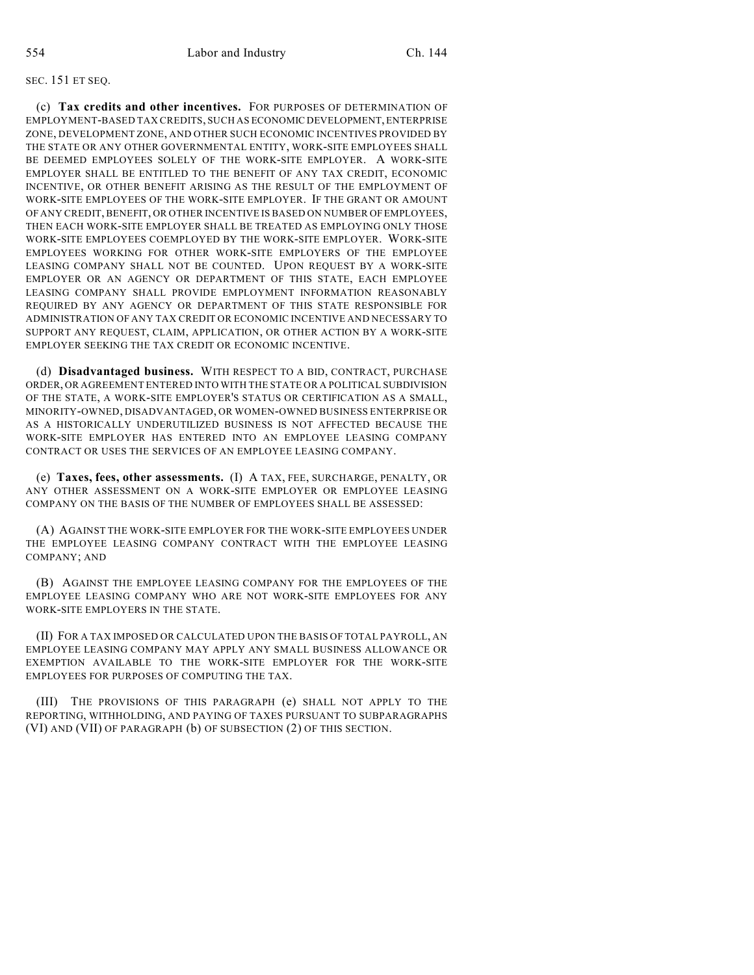## SEC. 151 ET SEQ.

(c) **Tax credits and other incentives.** FOR PURPOSES OF DETERMINATION OF EMPLOYMENT-BASED TAX CREDITS, SUCH AS ECONOMIC DEVELOPMENT, ENTERPRISE ZONE, DEVELOPMENT ZONE, AND OTHER SUCH ECONOMIC INCENTIVES PROVIDED BY THE STATE OR ANY OTHER GOVERNMENTAL ENTITY, WORK-SITE EMPLOYEES SHALL BE DEEMED EMPLOYEES SOLELY OF THE WORK-SITE EMPLOYER. A WORK-SITE EMPLOYER SHALL BE ENTITLED TO THE BENEFIT OF ANY TAX CREDIT, ECONOMIC INCENTIVE, OR OTHER BENEFIT ARISING AS THE RESULT OF THE EMPLOYMENT OF WORK-SITE EMPLOYEES OF THE WORK-SITE EMPLOYER. IF THE GRANT OR AMOUNT OF ANY CREDIT, BENEFIT, OR OTHER INCENTIVE IS BASED ON NUMBER OF EMPLOYEES, THEN EACH WORK-SITE EMPLOYER SHALL BE TREATED AS EMPLOYING ONLY THOSE WORK-SITE EMPLOYEES COEMPLOYED BY THE WORK-SITE EMPLOYER. WORK-SITE EMPLOYEES WORKING FOR OTHER WORK-SITE EMPLOYERS OF THE EMPLOYEE LEASING COMPANY SHALL NOT BE COUNTED. UPON REQUEST BY A WORK-SITE EMPLOYER OR AN AGENCY OR DEPARTMENT OF THIS STATE, EACH EMPLOYEE LEASING COMPANY SHALL PROVIDE EMPLOYMENT INFORMATION REASONABLY REQUIRED BY ANY AGENCY OR DEPARTMENT OF THIS STATE RESPONSIBLE FOR ADMINISTRATION OF ANY TAX CREDIT OR ECONOMIC INCENTIVE AND NECESSARY TO SUPPORT ANY REQUEST, CLAIM, APPLICATION, OR OTHER ACTION BY A WORK-SITE EMPLOYER SEEKING THE TAX CREDIT OR ECONOMIC INCENTIVE.

(d) **Disadvantaged business.** WITH RESPECT TO A BID, CONTRACT, PURCHASE ORDER, OR AGREEMENT ENTERED INTO WITH THE STATE OR A POLITICAL SUBDIVISION OF THE STATE, A WORK-SITE EMPLOYER'S STATUS OR CERTIFICATION AS A SMALL, MINORITY-OWNED, DISADVANTAGED, OR WOMEN-OWNED BUSINESS ENTERPRISE OR AS A HISTORICALLY UNDERUTILIZED BUSINESS IS NOT AFFECTED BECAUSE THE WORK-SITE EMPLOYER HAS ENTERED INTO AN EMPLOYEE LEASING COMPANY CONTRACT OR USES THE SERVICES OF AN EMPLOYEE LEASING COMPANY.

(e) **Taxes, fees, other assessments.** (I) A TAX, FEE, SURCHARGE, PENALTY, OR ANY OTHER ASSESSMENT ON A WORK-SITE EMPLOYER OR EMPLOYEE LEASING COMPANY ON THE BASIS OF THE NUMBER OF EMPLOYEES SHALL BE ASSESSED:

(A) AGAINST THE WORK-SITE EMPLOYER FOR THE WORK-SITE EMPLOYEES UNDER THE EMPLOYEE LEASING COMPANY CONTRACT WITH THE EMPLOYEE LEASING COMPANY; AND

(B) AGAINST THE EMPLOYEE LEASING COMPANY FOR THE EMPLOYEES OF THE EMPLOYEE LEASING COMPANY WHO ARE NOT WORK-SITE EMPLOYEES FOR ANY WORK-SITE EMPLOYERS IN THE STATE.

(II) FOR A TAX IMPOSED OR CALCULATED UPON THE BASIS OF TOTAL PAYROLL, AN EMPLOYEE LEASING COMPANY MAY APPLY ANY SMALL BUSINESS ALLOWANCE OR EXEMPTION AVAILABLE TO THE WORK-SITE EMPLOYER FOR THE WORK-SITE EMPLOYEES FOR PURPOSES OF COMPUTING THE TAX.

(III) THE PROVISIONS OF THIS PARAGRAPH (e) SHALL NOT APPLY TO THE REPORTING, WITHHOLDING, AND PAYING OF TAXES PURSUANT TO SUBPARAGRAPHS (VI) AND (VII) OF PARAGRAPH (b) OF SUBSECTION (2) OF THIS SECTION.